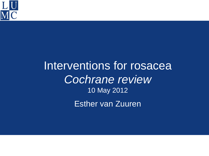

## Interventions for rosacea *Cochrane review* 10 May 2012 Esther van Zuuren

l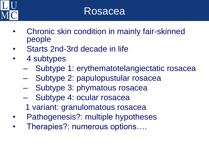

- Chronic skin condition in mainly fair-skinned people
- Starts 2nd-3rd decade in life
- 4 subtypes
	- Subtype 1: erythematotelangiectatic rosacea
	- Subtype 2: papulopustular rosacea
	- Subtype 3: phymatous rosacea
	- Subtype 4: ocular rosacea
	- 1 variant: granulomatous rosacea
- Pathogenesis?: multiple hypotheses
- Therapies?: numerous options….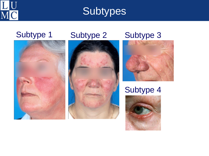

**Subtypes** 





### Subtype 1 Subtype 2 Subtype 3



#### Subtype 4

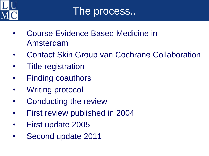

- Course Evidence Based Medicine in Amsterdam
- Contact Skin Group van Cochrane Collaboration
- Title registration
- Finding coauthors
- Writing protocol
- Conducting the review
- First review published in 2004
- First update 2005
- Second update 2011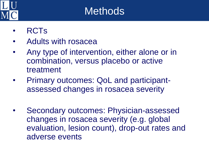

## **Methods**

- RCTs
- Adults with rosacea
- Any type of intervention, either alone or in combination, versus placebo or active treatment
- Primary outcomes: QoL and participantassessed changes in rosacea severity
- Secondary outcomes: Physician-assessed changes in rosacea severity (e.g. global evaluation, lesion count), drop-out rates and adverse events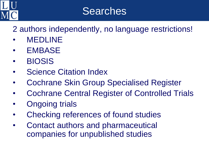

## Searches

2 authors independently, no language restrictions!

- **MEDLINE**
- **EMBASE**
- BIOSIS
- **Science Citation Index**
- Cochrane Skin Group Specialised Register
- Cochrane Central Register of Controlled Trials
- Ongoing trials
- Checking references of found studies
- Contact authors and pharmaceutical companies for unpublished studies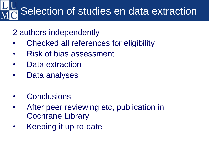# Selection of studies en data extraction

### 2 authors independently

- Checked all references for eligibility
- Risk of bias assessment
- Data extraction
- Data analyses
- **Conclusions**
- After peer reviewing etc, publication in Cochrane Library
- Keeping it up-to-date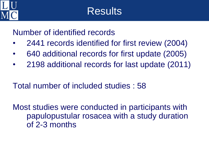

Number of identified records

- 2441 records identified for first review (2004)
- 640 additional records for first update (2005)
- 2198 additional records for last update (2011)

Total number of included studies : 58

Most studies were conducted in participants with papulopustular rosacea with a study duration of 2-3 months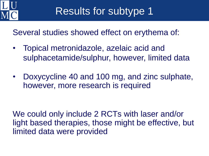

Several studies showed effect on erythema of:

- Topical metronidazole, azelaic acid and sulphacetamide/sulphur, however, limited data
- Doxycycline 40 and 100 mg, and zinc sulphate, however, more research is required

We could only include 2 RCTs with laser and/or light based therapies, those might be effective, but limited data were provided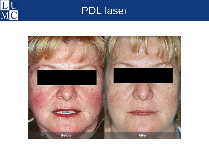

## PDL laser

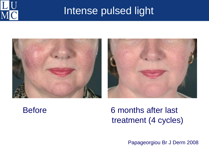

## Intense pulsed light





### Before 6 months after last treatment (4 cycles)

Papageorgiou Br J Derm 2008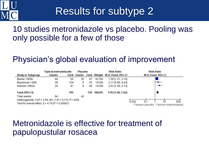

## Results for subtype 2

#### 10 studies metronidazole vs placebo. Pooling was only possible for a few of those

### Physician's global evaluation of improvement

|                                                                                      | Topical metronidazole |     | <b>Placebo</b> |     | <b>Risk Ratio</b>         |                     | <b>Risk Ratio</b>                            |
|--------------------------------------------------------------------------------------|-----------------------|-----|----------------|-----|---------------------------|---------------------|----------------------------------------------|
| <b>Study or Subgroup</b>                                                             | Events                |     |                |     | Total Events Total Weight | M-H, Fixed, 95% Cl  | <b>M-H, Fixed, 95% CI</b>                    |
| Bjerke 1989b                                                                         | 44                    | 50  | 26             | 47  | 62.5%                     | 1.59 [1.21, 2.10]   |                                              |
| Breneman 1998                                                                        | 26                    | 104 | 6.             | 52  | 18.6%                     | 2.17 [0.95, 4.93]   |                                              |
| Nielsen 1983a                                                                        | 24                    | 41  | 8              | 40  | 18.9%                     | 2.93 [1.50, 5.73]   | —                                            |
| Total (95% CI)                                                                       |                       | 195 |                | 139 | 100.0%                    | $1.95$ [1.48, 2.56] |                                              |
| Total events                                                                         | 94                    |     | 40             |     |                           |                     |                                              |
| Heterogeneity: Chi <sup>2</sup> = 3.55, df = 2 (P = 0.17); $P = 44\%$<br>0.002<br>10 |                       |     |                |     |                           |                     |                                              |
| Test for overall effect: $Z = 4.79$ (P < 0.00001)                                    |                       |     |                |     |                           |                     | 500<br>Favours placebo Favours metronidazole |

#### Metronidazole is effective for treatment of papulopustular rosacea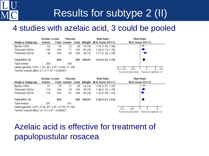## Results for subtype 2 (II)

#### 4 studies with azelaic acid, 3 could be pooled





### Azelaic acid is effective for treatment of papulopustular rosacea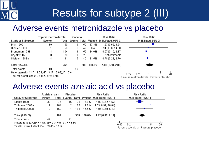## Results for subtype 2 (III)

#### Adverse events metronidazole vs placebo

|                                                                      | Topical metronidazole |       | <b>Placebo</b> |     | <b>Risk Ratio</b> |                                        | <b>Risk Ratio</b>                     |
|----------------------------------------------------------------------|-----------------------|-------|----------------|-----|-------------------|----------------------------------------|---------------------------------------|
| <b>Study or Subgroup</b>                                             | Events                | Total |                |     |                   | Events Total Weight M-H, Fixed, 95% CI | <b>M-H, Fixed, 95% CI</b>             |
| Bitar 1990                                                           | 10                    | 50    | 6.             | 50  | 37.3%             | 1.67 [0.66, 4.24]                      |                                       |
| Bjerke 1989b                                                         |                       | 50    |                | 47  | 6.4%              | $0.94$ [0.06, 14.60]                   |                                       |
| Breneman 1998                                                        | 4                     | 104   | з.             | 52  | 24.9%             | $0.67$ [0.15, 2.87]                    |                                       |
| Koçak 2002                                                           | 0                     | 20    | 0.             | 20  |                   | Not estimable                          |                                       |
| Nielsen 1983a                                                        | 4                     | 41    | 5.             | 40  | 31.5%             | $0.78$ [0.23, 2.70]                    |                                       |
| Total (95% CI)                                                       |                       | 265   |                | 209 | 100.0%            | $1.09$ [0.58, 2.06]                    |                                       |
| Total events                                                         | 19                    |       | 15             |     |                   |                                        |                                       |
| Heterogeneity: Chi <sup>2</sup> = 1.52, df = 3 (P = 0.68); $P = 0\%$ |                       |       |                |     |                   |                                        | 20<br>0.05<br>በ 2                     |
| Test for overall effect: $Z = 0.28$ (P = 0.78)                       |                       |       |                |     |                   |                                        | Favours metronidazole Favours placebo |

#### Adverse events azelaic acid vs placebo

|                                                                        | Azelaic cream |                  | <b>Placebo</b> |     |        | <b>Risk Ratio</b>                      | <b>Risk Ratio</b>                  |
|------------------------------------------------------------------------|---------------|------------------|----------------|-----|--------|----------------------------------------|------------------------------------|
| <b>Study or Subgroup</b>                                               | Events        | Total            |                |     |        | Events Total Weight M-H, Fixed, 95% CI | <b>M-H, Fixed, 95% CI</b>          |
| Bjerke 1999                                                            | 30            | 76               | 15             | 38  | 76.8%  | 1.00 [0.62, 1.62]                      |                                    |
| Thiboutot 2003a                                                        | 9             | 164              | 2.             | 165 | 7.7%   | 4.53 [0.99, 20.64]                     |                                    |
| Thiboutot 2003b                                                        | 8             | 169              | 4.             | 166 | 15.5%  | $1.96$ [0.60, 6.40]                    |                                    |
| Total (95% CI)                                                         |               | 409              |                | 369 | 100.0% | 1.42 [0.92, 2.19]                      |                                    |
| Total events                                                           | 47            |                  | 21             |     |        |                                        |                                    |
| Heterogeneity: Chi <sup>2</sup> = 4.57, df = 2 (P = 0.10); $I^2$ = 56% |               | 20<br>nэ<br>0.05 |                |     |        |                                        |                                    |
| Test for overall effect: $Z = 1.59$ (P = 0.11)                         |               |                  |                |     |        |                                        | Favours azelaic cr Favours placebo |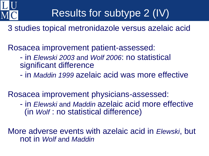

## Results for subtype 2 (IV)

3 studies topical metronidazole versus azelaic acid

Rosacea improvement patient-assessed:

- in *Elewski 2003* and *Wolf 2006*: no statistical significant difference
- in *Maddin 1999* azelaic acid was more effective

Rosacea improvement physicians-assessed:

- in *Elewski* and *Maddin* azelaic acid more effective (in *Wolf* : no statistical difference)

More adverse events with azelaic acid in *Elewski*, but not in *Wolf* and *Maddin*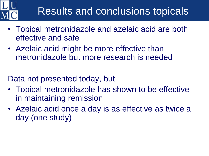## Results and conclusions topicals

- Topical metronidazole and azelaic acid are both effective and safe
- Azelaic acid might be more effective than metronidazole but more research is needed

Data not presented today, but

- Topical metronidazole has shown to be effective in maintaining remission
- Azelaic acid once a day is as effective as twice a day (one study)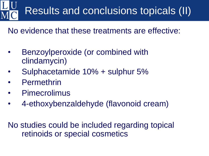# Results and conclusions topicals (II)

No evidence that these treatments are effective:

- Benzoylperoxide (or combined with clindamycin)
- Sulphacetamide 10% + sulphur 5%
- **Permethrin**
- **Pimecrolimus**
- 4-ethoxybenzaldehyde (flavonoid cream)

No studies could be included regarding topical retinoids or special cosmetics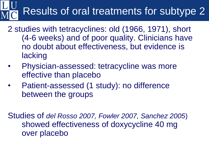# Results of oral treatments for subtype 2

- 2 studies with tetracyclines: old (1966, 1971), short (4-6 weeks) and of poor quality. Clinicians have no doubt about effectiveness, but evidence is lacking
- Physician-assessed: tetracycline was more effective than placebo
- Patient-assessed (1 study): no difference between the groups

Studies of *del Rosso 2007, Fowler 2007, Sanchez 2005*) showed effectiveness of doxycycline 40 mg over placebo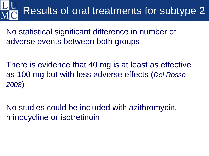# Results of oral treatments for subtype 2

No statistical significant difference in number of adverse events between both groups

There is evidence that 40 mg is at least as effective as 100 mg but with less adverse effects (*Del Rosso 2008*)

No studies could be included with azithromycin, minocycline or isotretinoin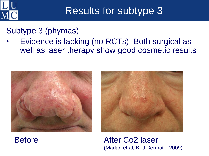

## Results for subtype 3

Subtype 3 (phymas):

• Evidence is lacking (no RCTs). Both surgical as well as laser therapy show good cosmetic results







Before **After Co2 laser** (Madan et al, Br J Dermatol 2009)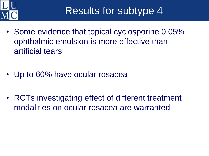

Results for subtype 4

- Some evidence that topical cyclosporine 0.05% ophthalmic emulsion is more effective than artificial tears
- Up to 60% have ocular rosacea
- RCTs investigating effect of different treatment modalities on ocular rosacea are warranted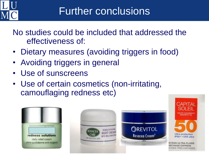

No studies could be included that addressed the effectiveness of:

- Dietary measures (avoiding triggers in food)
- Avoiding triggers in general
- Use of sunscreens
- Use of certain cosmetics (non-irritating, camouflaging redness etc)



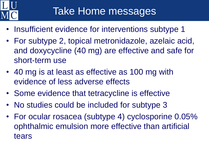

- Insufficient evidence for interventions subtype 1
- For subtype 2, topical metronidazole, azelaic acid, and doxycycline (40 mg) are effective and safe for short-term use
- 40 mg is at least as effective as 100 mg with evidence of less adverse effects
- Some evidence that tetracycline is effective
- No studies could be included for subtype 3
- For ocular rosacea (subtype 4) cyclosporine 0.05% ophthalmic emulsion more effective than artificial tears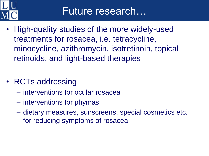

- High-quality studies of the more widely-used treatments for rosacea, i.e. tetracycline, minocycline, azithromycin, isotretinoin, topical retinoids, and light-based therapies
- RCTs addressing
	- interventions for ocular rosacea
	- interventions for phymas
	- dietary measures, sunscreens, special cosmetics etc. for reducing symptoms of rosacea